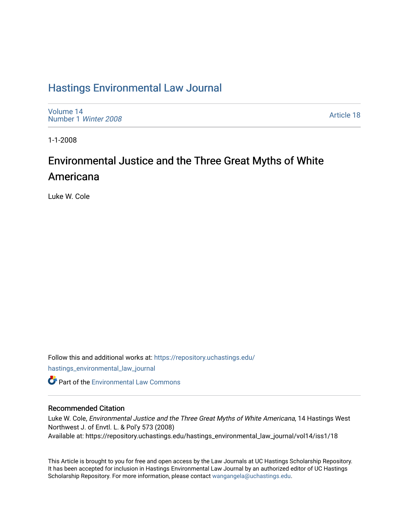# [Hastings Environmental Law Journal](https://repository.uchastings.edu/hastings_environmental_law_journal)

[Volume 14](https://repository.uchastings.edu/hastings_environmental_law_journal/vol14) [Number 1](https://repository.uchastings.edu/hastings_environmental_law_journal/vol14/iss1) Winter 2008

[Article 18](https://repository.uchastings.edu/hastings_environmental_law_journal/vol14/iss1/18) 

1-1-2008

# Environmental Justice and the Three Great Myths of White Americana

Luke W. Cole

Follow this and additional works at: [https://repository.uchastings.edu/](https://repository.uchastings.edu/hastings_environmental_law_journal?utm_source=repository.uchastings.edu%2Fhastings_environmental_law_journal%2Fvol14%2Fiss1%2F18&utm_medium=PDF&utm_campaign=PDFCoverPages) [hastings\\_environmental\\_law\\_journal](https://repository.uchastings.edu/hastings_environmental_law_journal?utm_source=repository.uchastings.edu%2Fhastings_environmental_law_journal%2Fvol14%2Fiss1%2F18&utm_medium=PDF&utm_campaign=PDFCoverPages)  **Part of the [Environmental Law Commons](http://network.bepress.com/hgg/discipline/599?utm_source=repository.uchastings.edu%2Fhastings_environmental_law_journal%2Fvol14%2Fiss1%2F18&utm_medium=PDF&utm_campaign=PDFCoverPages)** 

# Recommended Citation

Luke W. Cole, Environmental Justice and the Three Great Myths of White Americana, 14 Hastings West Northwest J. of Envtl. L. & Pol'y 573 (2008) Available at: https://repository.uchastings.edu/hastings\_environmental\_law\_journal/vol14/iss1/18

This Article is brought to you for free and open access by the Law Journals at UC Hastings Scholarship Repository. It has been accepted for inclusion in Hastings Environmental Law Journal by an authorized editor of UC Hastings Scholarship Repository. For more information, please contact [wangangela@uchastings.edu.](mailto:wangangela@uchastings.edu)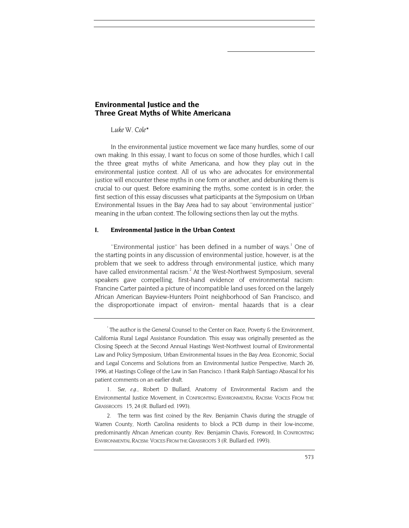## **Environmental Justice and the Three Great Myths of White Americana**

#### *Luke W. Col[e\\*](#page-1-0)*

In the environmental justice movement we face many hurdles, some of our own making. In this essay, I want to focus on some of those hurdles, which I call the three great myths of white Americana, and how they play out in the environmental justice context. All of us who are advocates for environmental justice will encounter these myths in one form or another, and debunking them is crucial to our quest. Before examining the myths, some context is in order; the first section of this essay discusses what participants at the Symposium on Urban Environmental Issues in the Bay Area had to say about ''environmental justice'' meaning in the urban context. The following sections then lay out the myths.

#### **I. Environmental Justice in the Urban Context**

"Environmental justice" has been defined in a number of ways.<sup>1</sup> One of the starting points in any discussion of environmental justice, however, is at the problem that we seek to address through environmental justice, which many have called environmental racism.<sup>[2](#page-1-2)</sup> At the West-Northwest Symposium, several speakers gave compelling, first-hand evidence of environmental racism: Francine Carter painted a picture of incompatible land uses forced on the largely African American Bayview-Hunters Point neighborhood of San Francisco, and the disproportionate impact of environ- mental hazards that is a clear

<span id="page-1-2"></span>2. The term was first coined by the Rev. Benjamin Chavis during the struggle of Warren County, North Carolina residents to block a PCB dump in their low-income, predominantly Afncan American county. Rev. Benjamin Chavis, Foreword, In CONFRONTING ENVIRONMENTAL RACISM: VOICES FROM THE GRASSROOTS 3 (R. Bullard ed. 1993).

<span id="page-1-0"></span><sup>\*</sup> The author is the General Counsel to the Center on Race, Poverty & the Environment, California Rural Legal Assistance Foundation. This essay was originally presented as the Closing Speech at the Second Annual Hastings West-Northwest Journal of Environmental Law and Policy Symposium, Urban Environmental Issues in the Bay Area. Economic, Social and Legal Concerns and Solutions from an Environmental Justice Perspective, March 26, 1996, at Hastings College of the Law in San Francisco. I thank Ralph Santiago Abascal for his patient comments on an earlier draft.

<span id="page-1-1"></span><sup>1</sup>*. See, e.g.,* Robert D Bullard, Anatomy of Environmental Racism and the Environmental Justice Movement, in CONFRONTING ENVIRONMENTAL RACISM: VOICES FROM THE GRASSROOTS 15, 24 (R. Bullard ed. 1993).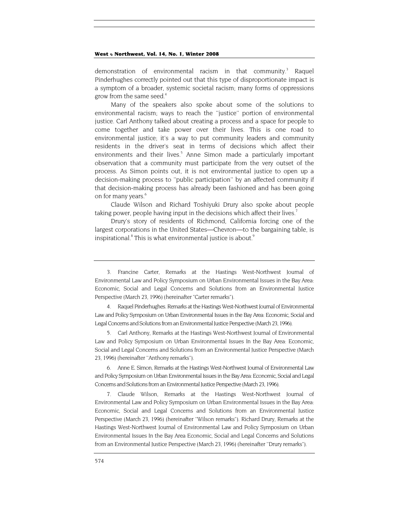demonstration of environmental racism in that community.<sup>[3](#page-2-0)</sup> Raquel Pinderhughes correctly pointed out that this type of disproportionate impact is a symptom of a broader, systemic societal racism; many forms of oppressions grow from the same seed.<sup>4</sup>

Many of the speakers also spoke about some of the solutions to environmental racism; ways to reach the ''justice'' portion of environmental justice. Carl Anthony talked about creating a process and a space for people to come together and take power over their lives. This is one road to environmental justice; it's a way to put community leaders and community residents in the driver's seat in terms of decisions which affect their environments and their lives.<sup>[5](#page-2-2)</sup> Anne Simon made a particularly important observation that a community must participate from the very outset of the process. As Simon points out, it is not environmental justice to open up a decision-making process to ''public participation'' by an affected community if that decision-making process has already been fashioned and has been going on for many years.<sup>[6](#page-2-3)</sup>

Claude Wilson and Richard Toshiyuki Drury also spoke about people taking power, people having input in the decisions which affect their lives.<sup>7</sup>

Drury's story of residents of Richmond, California forcing one of the largest corporations in the United States—Chevron—to the bargaining table, is inspirational.<sup>8</sup> This is what environmental justice is about.<sup>[9](#page-2-6)</sup>

<span id="page-2-2"></span>5. Carl Anthony, Remarks at the Hastings West-Northwest Journal of Environmental Law and Policy Symposium on Urban Environmental Issues In the Bay Area: Economic, Social and Legal Concerns and Solutions from an Environmental Justice Perspective (March 23, 1996) (hereinafter ''Anthony remarks").

<span id="page-2-3"></span>6. Anne E. Simon, Remarks at the Hastings West-Northwest Journal of Environmental Law and Policy Symposium on Urban Environmental Issues in the Bay Area: Economic, Social and Legal Concerns and Solutions from an Environmental Justice Perspective (March 23, 1996).

<span id="page-2-4"></span>7. Claude Wilson, Remarks at the Hastings West-Northwest Journal of Environmental Law and Policy Symposium on Urban Environmental Issues in the Bay Area: Economic, Social and Legal Concerns and Solutions from an Environmental Justice Perspective (March 23, 1996) (hereinafter ''Wilson remarks"). Richard Drury, Remarks at the Hastings West-Northwest Journal of Environmental Law and Policy Symposium on Urban Environmental Issues In the Bay Area Economic, Social and Legal Concerns and Solutions from an Environmental Justice Perspective (March 23, 1996) (hereinafter ''Drury remarks").

<span id="page-2-5"></span><span id="page-2-0"></span><sup>3.</sup> Francine Carter, Remarks at the Hastings West-Northwest Journal of Environmental Law and Policy Symposium on Urban Environmental Issues in the Bay Area: Economic, Social and Legal Concerns and Solutions from an Environmental Justice Perspective (March 23, 1996) (hereinafter "Carter remarks").

<span id="page-2-6"></span><span id="page-2-1"></span><sup>4.</sup> Raquel Pinderhughes. Remarks at the Hastings West-Northwest Journal of Environmental Law and Policy Symposium on Urban Environmental Issues in the Bay Area: Economic, Social and Legal Concerns and Solutions from an Environmental Justice Perspective (March 23, 1996).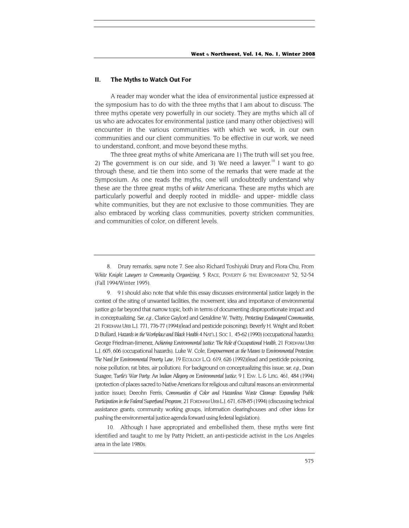#### **II. The Myths to Watch Out For**

A reader may wonder what the idea of environmental justice expressed at the symposium has to do with the three myths that I am about to discuss. The three myths operate very powerfully in our society. They are myths which all of us who are advocates for environmental justice (and many other objectives) will encounter in the various communities with which we work, in our own communities and our client communities. To be effective in our work, we need to understand, confront, and move beyond these myths.

The three great myths of white Americana are 1) The truth will set you free, 2) The government is on our side, and 3) We need a lawyer.<sup>10</sup> I want to go through these, and tie them into some of the remarks that were made at the Symposium. As one reads the myths, one will undoubtedly understand why these are the three great myths of *white* Americana. These are myths which are particularly powerful and deeply rooted in middle- and upper- middle class white communities, but they are not exclusive to those communities. They are also embraced by working class communities, poverty stricken communities, and communities of color, on different levels.

<span id="page-3-0"></span>10. Although I have appropriated and embellished them, these myths were first identified and taught to me by Patty Prickett, an anti-pesticide activist in the Los Angeles area in the late 1980s.

<sup>8.</sup> Drury remarks, *supra* note 7. See also Richard Toshiyuki Drury and Flora Chu, From *White Knight Lawyers to Community Organizing*, 5 RACE, POVERTY & THE ENVIRONMENT 52, 52-54 (Fall 1994/Winter 1995).

<sup>9. 9</sup> I should also note that while this essay discusses environmental justice largely in the context of the siting of unwanted facilities, the movement, idea and importance of environmental justice go far beyond that narrow topic, both in terms of documenting disproportionate impact and in conceptualizing. *See, e.g.,* Clarice Gaylord and Geraldine W. Twitty, *Protecting Endangered Communities,*  21 FORDHAM URB L.J. 771, 776-77 (1994)(lead and pesticide poisoning); Beverly H. Wright and Robert D Bullard, Hazards in the Workplace and Black Health 4 NAT'L J. Soc 1, 45-62 (1990) (occupational hazards); George Friedman-Jimenez, *Achieving Environmental Justice: The Role of Occupational Health,* 21 FORDHAM URB L.J. 605, 606 (occupational hazards). Luke W. Cole, *Empowerment as the Means to Environmental Protection: The Need for Environmental Poverty Law,* 19 ECOLOGY L.Q. 619, 626 (1992)(lead and pesticide poisoning, noise pollution, rat bites, air pollution). For background on conceptualizing this issue, *see, e.g.*, Dean Suagee, *Turtle's War Party: An Indian Allegory on Environmental Justice,* 9 J. ENV. L & LITIG. 461, 484 (1994) (protection of places sacred to Native Americans for religious and cultural reasons an environmental justice issue); Deeohn Ferris, *Communities of Color and Hazardous Waste Cleanup: Expanding Public Participation in the Federal Superfund Program,* 21 FORDHAM URB L.J. 671, 678-85 (1994) (discussing technical assistance grants, community working groups, information clearinghouses and other ideas for pushing the environmental justice agenda forward using federal legislation).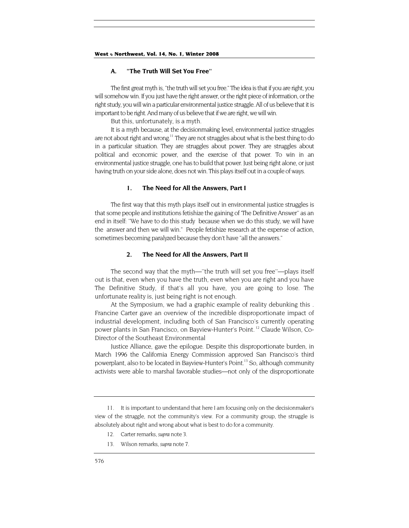#### **A. "The Truth Will Set You Free''**

The first great myth is, "the truth will set you free." The idea is that if you are right, you will somehow win. If you just have the right answer, or the right piece of information, or the right study, you will win a particular environmental justice struggle. All of us believe that it is important to be right. And many of us believe that if we are right, we will win.

But this, unfortunately, is a myth.

It is a myth because, at the decisionmaking level, environmental justice struggles are not about right and wrong.<sup>11</sup> They are not struggles about what is the best thing to do in a particular situation. They are struggles about power. They are struggles about political and economic power, and the exercise of that power. To win in an environmental justice struggle, one has to build that power. Just being right alone, or just having truth on your side alone, does not win. This plays itself out in a couple of ways.

#### **1. The Need for All the Answers, Part I**

The first way that this myth plays itself out in environmental justice struggles is that some people and institutions fetishize the gaining of 'The Definitive Answer'' as an end in itself: ''We have to do this study because when we do this study, we will have the answer and then we will win." People fetishize research at the expense of action, sometimes becoming paralyzed because they don't have "all the answers."

#### **2. The Need for All the Answers, Part II**

The second way that the myth—''the truth will set you free''—plays itself out is that, even when you have the truth, even when you are right and you have The Definitive Study, if that's all you have, you are going to lose. The unfortunate reality is, just being right is not enough.

At the Symposium, we had a graphic example of reality debunking this . Francine Carter gave an overview of the incredible disproportionate impact of industrial development, including both of San Francisco's currently operating power plants in San Francisco, on Bayview-Hunter's Point. [12](#page-4-1) Claude Wilson, Co-Director of the Southeast Environmental

Justice Alliance, gave the epilogue. Despite this disproportionate burden, in March 1996 the California Energy Commission approved San Francisco's third powerplant, also to be located in Bayview-Hunter's Point.<sup>13</sup> So, although community activists were able to marshal favorable studies—not only of the disproportionate

- <span id="page-4-1"></span>12. Carter remarks, *supra* note 3.
- <span id="page-4-2"></span>13. Wilson remarks, *supra* note 7.

<span id="page-4-0"></span><sup>11.</sup> It is important to understand that here I am focusing only on the decisionmaker's view of the struggle, not the community's view. For a community group, the struggle is absolutely about right and wrong about what is best to do for a community.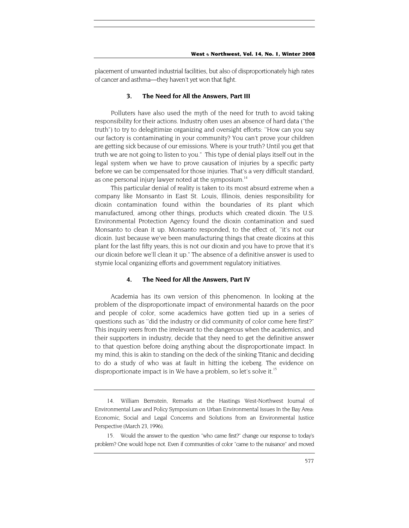<span id="page-5-1"></span>placement of unwanted industrial facilities, but also of disproportionately high rates of cancer and asthma—they haven't yet won that fight.

#### **3. The Need for All the Answers, Part III**

Polluters have also used the myth of the need for truth to avoid taking responsibility for their actions. Industry often uses an absence of hard data ("the truth") to try to delegitimize organizing and oversight efforts: ''How can you say our factory is contaminating in your community? You can't prove your children are getting sick because of our emissions. Where is your truth? Until you get that truth we are not going to listen to you." This type of denial plays itself out in the legal system when we have to prove causation of injuries by a specific party before we can be compensated for those injuries. That's a very difficult standard, as one personal injury lawyer noted at the symposium.<sup>14</sup>

This particular denial of reality is taken to its most absurd extreme when a company like Monsanto in East St. Louis, Illinois, denies responsibility for dioxin contamination found within the boundaries of its plant which manufactured, among other things, products which created dioxin. The U.S. Environmental Protection Agency found the dioxin contamination and sued Monsanto to clean it up. Monsanto responded, to the effect of, ''it's not our dioxin. Just because we've been manufacturing things that create dioxins at this plant for the last fifty years, this is not our dioxin and you have to prove that it's our dioxin before we'll clean it up." The absence of a definitive answer is used to stymie local organizing efforts and government regulatory initiatives.

#### **4. The Need for All the Answers, Part IV**

Academia has its own version of this phenomenon. In looking at the problem of the disproportionate impact of environmental hazards on the poor and people of color, some academics have gotten tied up in a series of questions such as ''did the industry or did community of color come here first?" This inquiry veers from the irrelevant to the dangerous when the academics, and their supporters in industry, decide that they need to get the definitive answer to that question before doing anything about the disproportionate impact. In my mind, this is akin to standing on the deck of the sinking Titanic and deciding to do a study of who was at fault in hitting the iceberg. The evidence on disproportionate impact is in We have a problem, so let's solve it.<sup>15</sup>

<span id="page-5-0"></span><sup>14.</sup> William Bernstein, Remarks at the Hastings West-Northwest Journal of Environmental Law and Policy Symposium on Urban Environmental Issues In the Bay Area: Economic, Social and Legal Concerns and Solutions from an Environmental Justice Perspective (March 23, 1996).

<sup>15.</sup> Would the answer to the question ''who came first?" change our response to today's problem? One would hope not. Even if communities of color ''came to the nuisance'' and moved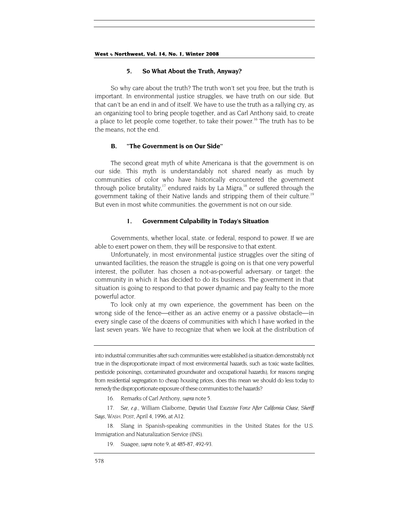#### **5. So What About the Truth, Anyway?**

So why care about the truth? The truth won't set you free, but the truth is important. In environmental justice struggles, we have truth on our side. But that can't be an end in and of itself. We have to use the truth as a rallying cry, as an organizing tool to bring people together, and as Carl Anthony said, to create a place to let people come together, to take their power.<sup>16</sup> The truth has to be the means, not the end.

#### **B. "The Government is on Our Side''**

The second great myth of white Americana is that the government is on our side. This myth is understandably not shared nearly as much by communities of color who have historically encountered the government through police brutality,<sup>17</sup> endured raids by La Migra,<sup>18</sup> or suffered through the government taking of their Native lands and stripping them of their culture.<sup>19</sup> But even in most white communities. the government is not on our side.

#### **1. Government Culpability in Today's Situation**

Governments, whether local, state. or federal, respond to power. If we are able to exert power on them, they will be responsive to that extent.

Unfortunately, in most environmental justice struggles over the siting of unwanted facilities, the reason the struggle is going on is that one very powerful interest, the polluter. has chosen a not-as-powerful adversary. or target: the community in which it has decided to do its business. The government in that situation is going to respond to that power dynamic and pay fealty to the more powerful actor.

To look only at my own experience, the government has been on the wrong side of the fence—either as an active enemy or a passive obstacle—in every single case of the dozens of communities with which I have worked in the last seven years. We have to recognize that when we look at the distribution of

into industrial communities after such communities were established (a situation demonstrably not true in the disproportionate impact of most environmental hazards, such as toxic waste facilities, pesticide poisonings, contaminated groundwater and occupational hazards), for reasons ranging from residential segregation to cheap housing prices, does this mean we should do less today to remedy the disproportionate exposure of these communities to the hazards?

16. Remarks of Carl Anthony, *supra* note 5.

<span id="page-6-1"></span><span id="page-6-0"></span>17*. See, e.g.,* William Claiborne, *Deputies Used Excessive Force After California Chase, Sheriff Says,* WASH. POST, April 4, 1996, at A12.

<span id="page-6-2"></span>18. Slang in Spanish-speaking communities in the United States for the U.S. Immigration and Naturalization Service (INS).

<span id="page-6-3"></span>19. Suagee, *supra* note 9, at 485-87, 492-93.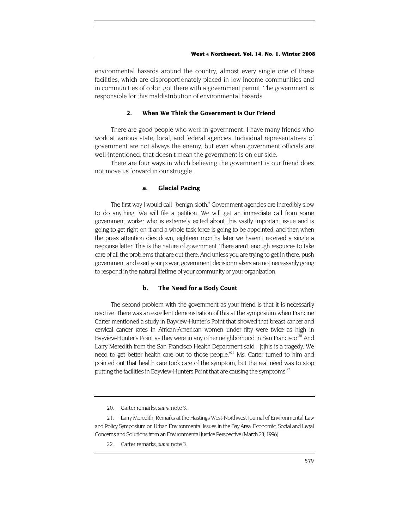environmental hazards around the country, almost every single one of these facilities, which are disproportionately placed in low income communities and in communities of color, got there with a government permit. The government is responsible for this maldistribution of environmental hazards.

#### **2. When We Think the Government Is Our Friend**

There are good people who work in government. I have many friends who work at various state, local, and federal agencies. Individual representatives of government are not always the enemy, but even when government officials are well-intentioned, that doesn't mean the government is on our side.

There are four ways in which believing the government is our friend does not move us forward in our struggle.

#### **a. Glacial Pacing**

The first way I would call ''benign sloth." Government agencies are incredibly slow to do anything. We will file a petition. We will get an immediate call from some government worker who is extremely exited about this vastly important issue and is going to get right on it and a whole task force is going to be appointed, and then when the press attention dies down, eighteen months later we haven't received a single a response letter. This is the nature of government. There aren't enough resources to take care of all the problems that are out there. And unless you are trying to get in there, push government and exert your power, government decisionmakers are not necessarily going to respond in the natural lifetime of your community or your organization.

#### **b. The Need for a Body Count**

The second problem with the government as your friend is that it is necessarily reactive. There was an excellent demonstration of this at the symposium when Francine Carter mentioned a study in Bayview-Hunter's Point that showed that breast cancer and cervical cancer rates in African-American women under fifty were twice as high in Bayview-Hunter's Point as they were in any other neighborhood in San Francisco.<sup>20</sup> And Larry Meredith from the San Francisco Health Department said, ''[t]his is a tragedy. We need to get better health care out to those people."<sup>21</sup> Ms. Carter turned to him and pointed out that health care took care of the symptom, but the real need was to stop putting the facilities in Bayview-Hunters Point that are causing the symptoms.<sup>22</sup>

<sup>20.</sup> Carter remarks, *supra* note 3.

<span id="page-7-1"></span><span id="page-7-0"></span><sup>21.</sup> Larry Meredith, Remarks at the Hastings West-Northwest Joumal of Environmental Law and Policy Symposium on Urban Environmental Issues in the Bay Area: Economic, Social and Legal Concerns and Solutions from an Environmental Justice Perspective (March 23, 1996).

<span id="page-7-2"></span><sup>22.</sup> Carter remarks, *supra* note 3.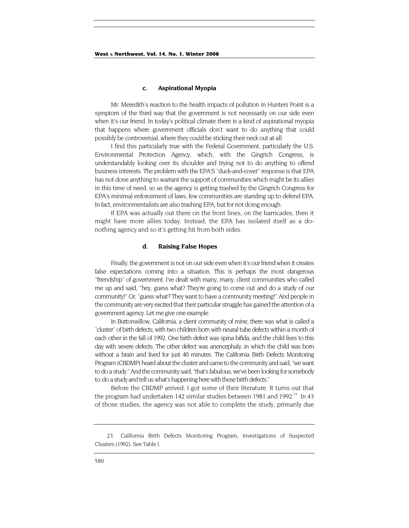#### **c. Aspirational Myopia**

Mr. Meredith's reaction to the health impacts of pollution in Hunters Point is a symptom of the third way that the government is not necessarily on our side even when it's our friend. In today's political climate there is a kind of aspirational myopia that happens where government officials don't want to do anything that could possibly be controversial, where they could be sticking their neck out at all.

I find this particularly true with the Federal Government, particularly the U.S. Environmental Protection Agency, which, with the Gingrich Congress, is understandably looking over its shoulder and trying not to do anything to offend business interests. The problem with the EPA'S ''duck-and-cover'' response is that EPA has not done anything to warrant the support of communities which might be its allies in this time of need, so as the agency is getting trashed by the Gingrich Congress for EPA's minimal enforcement of laws, few communities are standing up to defend EPA. In fact, environmentalists are also trashing EPA, but for not doing enough.

If EPA was actually out there on the front lines, on the barricades, then it might have more allies today. Instead, the EPA has isolated itself as a donothing agency and so it's getting hit from both sides.

#### **d. Raising False Hopes**

Finally, the government is not on our side even when it's our friend when it creates false expectations coming into a situation. This is perhaps the most dangerous ''friendship'' of government. I've dealt with many, many, client communities who called me up and said, ''hey, guess what? They're going to come out and do a study of our community!" Or, ''guess what? They want to have a community meeting!'' And people in the community are very excited that their particular struggle has gained the attention of a government agency. Let me give one example.

In Buttonwillow, California, a client community of mine, there was what is called a ''cluster'' of birth defects, with two children born with neural tube defects within a month of each other in the fall of 1992. One birth defect was spina bifida, and the child lives to this day with severe defects. The other defect was anencephaly, in which the child was born without a brain and lived for just 40 minutes. The California Birth Defects Monitoring Program (CBDMP) heard about the cluster and came to the community and said, ''we want to do a study." And the community said, ''that's fabulous, we've been looking for somebody to. do a study and tell us what's happening here with these birth defects.''

Before the CBDMP arrived, I got some of their literature. It turns out that the program had undertaken 142 similar studies between 1981 and 1992.<sup>23</sup> In 43 of those studies, the agency was not able to complete the study, primarily due

<span id="page-8-0"></span><sup>23.</sup> California Birth Defects Monitoring Program, Investigations of Suspected Clusters (1992). See Table I.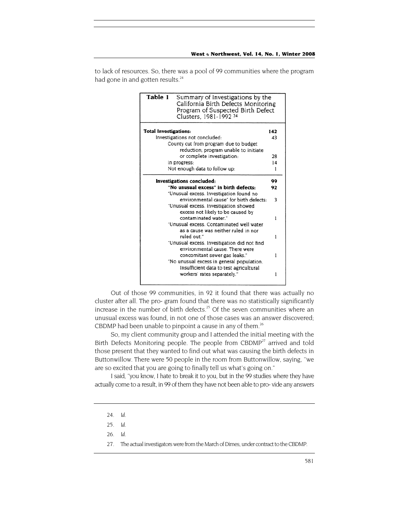to lack of resources. So, there was a pool of 99 communities where the program had gone in and gotten results.<sup>24</sup>

| Table 1                               | Summary of Investigations by the<br>California Birth Defects Monitoring<br>Program of Suspected Birth Defect<br>Clusters, 1981-1992 <sup>24</sup> |     |
|---------------------------------------|---------------------------------------------------------------------------------------------------------------------------------------------------|-----|
| <b>Total Investigations:</b>          |                                                                                                                                                   | 142 |
| Investigations not concluded:         |                                                                                                                                                   | 43  |
|                                       | County cut from program due to budget                                                                                                             |     |
|                                       | reduction; program unable to initiate                                                                                                             |     |
|                                       | or complete investigation:                                                                                                                        | 28  |
| In progress:                          |                                                                                                                                                   | 14  |
|                                       | Not enough data to follow up:                                                                                                                     | 1   |
| <b>Investigations concluded:</b>      |                                                                                                                                                   | 99  |
| "No unusual excess" in birth defects: |                                                                                                                                                   | 92  |
|                                       | "Unusual excess. Investigation found no                                                                                                           |     |
|                                       | environmental cause" for birth defects:                                                                                                           | 3   |
|                                       | "Unusual excess. Investigation showed                                                                                                             |     |
|                                       | excess not likely to be caused by                                                                                                                 |     |
|                                       | contaminated water."                                                                                                                              | ı   |
|                                       | "Unusual excess. Contaminated well water                                                                                                          |     |
|                                       | as a cause was neither ruled in nor                                                                                                               |     |
|                                       | ruled out."                                                                                                                                       |     |
|                                       | "Unusual excess. Investigation did not find                                                                                                       |     |
|                                       | environmental cause. There were                                                                                                                   |     |
|                                       | concomitant sewer gas leaks."                                                                                                                     |     |
|                                       |                                                                                                                                                   |     |
|                                       | "No unusual excess in general population.                                                                                                         |     |
|                                       | Insufficient data to test agricultural                                                                                                            |     |

Out of those 99 communities, in 92 it found that there was actually no cluster after all. The pro- gram found that there was no statistically significantly increase in the number of birth defects.<sup>25</sup> Of the seven communities where an unusual excess was found, in not one of those cases was an answer discovered; CBDMP had been unable to pinpoint a cause in any of them.<sup>26</sup>

So, my client community group and I attended the initial meeting with the Birth Defects Monitoring people. The people from  $CBDMP<sup>27</sup>$  arrived and told those present that they wanted to find out what was causing the birth defects in Buttonwillow. There were 50 people in the room from Buttonwillow, saying, ''we are so excited that you are going to finally tell us what's going on."

I said, ''you know, I hate to break it to you, but in the 99 studies where they have actually come to a result, in 99 of them they have not been able to pro- vide any answers

<span id="page-9-0"></span><sup>24</sup>*. Id.*

<span id="page-9-1"></span><sup>25</sup>*. Id.*

<span id="page-9-2"></span><sup>26</sup>*. Id.*

<span id="page-9-3"></span><sup>27.</sup> The actual investigators were from the March of Dimes, under contract to the CBDMP.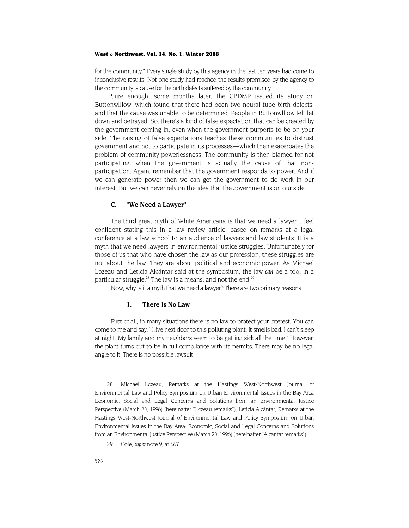for the community." Every single study by this agency in the last ten years had come to inconclusive results. Not one study had reached the results promised by the agency to the community: a cause for the birth defects suffered by the community.

Sure enough, some months later, the CBDMP issued its study on Buttonwlllow, which found that there had been two neural tube birth defects, and that the cause was unable to be determined. People in Buttonwlllow felt let down and betrayed. So. there's a kind of false expectation that can be created by the government coming in, even when the government purports to be on your side. The raising of false expectations teaches these communities to distrust government and not to participate in its processes—which then exacerbates the problem of community powerlessness. The community is then blamed for not participating, when the government is actually the cause of that nonparticipation. Again, remember that the government responds to power. And if we can generate power then we can get the government to do work in our interest. But we can never rely on the idea that the government is on our side.

### **C. ''We Need a Lawyer''**

The third great myth of White Americana is that we need a lawyer. I feel confident stating this in a law review article, based on remarks at a legal conference at a law school to an audience of lawyers and law students. It is a myth that we need lawyers in environmental justice struggles. Unfortunately for those of us that who have chosen the law as our profession, these struggles are not about the law. They are about political and economic power. As Michael Lozeau and Leticia Alcántar said at the symposium, the law *can* be a tool in a particular struggle.<sup>28</sup> The law is a means, and not the end.<sup>[29](#page-10-1)</sup>

Now, why is it a myth that we need a lawyer? There are two primary reasons.

#### **1. There Is No Law**

First of all, in many situations there is no law to protect your interest. You can come to me and say, "I live next door to this polluting plant. It smells bad. I can't sleep at night. My family and my neighbors seem to be getting sick all the time." However, the plant turns out to be in full compliance with its permits. There may be no legal angle to it. There is no possible lawsuit.

<span id="page-10-0"></span><sup>28.</sup> Michael Lozeau, Remarks at the Hastings West-Northwest Journal of Environmental Law and Policy Symposium on Urban Environmental Issues in the Bay Area Economic, Social and Legal Concerns and Solutions from an Environmental Justice Perspective (March 23, 1996) (hereinafter ''Lozeau remarks"), Leticia Alcántar, Remarks at the Hastings West-Northwest Journal of Environmental Law and Policy Symposium on Urban Environmental Issues in the Bay Area: Economic, Social and Legal Concerns and Solutions from an Environmental Justice Perspective (March 23, 1996) (hereinafter ''Alcantar remarks").

<span id="page-10-1"></span><sup>29.</sup> Cole, *supra* note 9, at 667.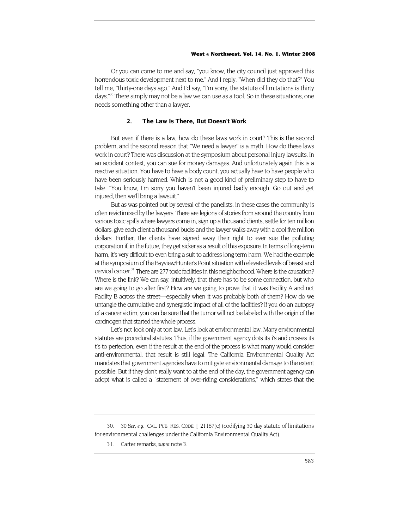Or you can come to me and say, ''you know, the city council just approved this horrendous toxic development next to me." And I reply, "When did they do that?" You tell me, ''thirty-one days ago." And I'd say, ''I'm sorry, the statute of limitations is thirty days."<sup>30</sup> There simply may not be a law we can use as a tool. So in these situations, one needs something other than a lawyer.

#### **2. The Law Is There, But Doesn't Work**

But even if there is a law, how do these laws work in court? This is the second problem, and the second reason that ''We need a lawyer'' is a myth. How do these laws work in court? There was discussion at the symposium about personal injury lawsuits. In an accident context, you can sue for money damages. And unfortunately again this is a reactive situation. You have to have a body count, you actually have to have people who have been seriously harmed. Which is not a good kind of preliminary step to have to take. ''You know, I'm sorry you haven't been injured badly enough. Go out and get injured, then we'll bring a lawsuit."

But as was pointed out by several of the panelists, in these cases the community is often revictimized by the lawyers. There are legions of stories from around the country from various toxic spills where lawyers come in, sign up a thousand clients, settle for ten million dollars, give each client a thousand bucks and the lawyer walks away with a cool five million dollars. Further, the clients have signed away their right to ever sue the polluting corporation if, in the future, they get sicker as a result of this exposure. In terms of long-term harm, it's very difficult to even bring a suit to address long term harm. We had the example at the symposium of the Bayview/Hunter's Point situation with elevated levels of breast and cervical cancer.<sup>31</sup> There are 277 toxic facilities in this neighborhood. Where is the causation? Where is the link? We can say, intuitively, that there has to be some connection, but who are we going to go after first? How are we going to prove that it was Facility A and not Facility B across the street—especially when it was probably both of them? How do we untangle the cumulative and synergistic impact of all of the facilities? If you do an autopsy of a cancer victim, you can be sure that the tumor will not be labeled with the origin of the carcinogen that started the whole process.

Let's not look only at tort law. Let's look at environmental law. Many environmental statutes are procedural statutes. Thus, if the government agency dots its i's and crosses its t's to perfection, even if the result at the end of the process is what many would consider anti-environmental, that result is still legal. The California Environmental Quality Act mandates that government agencies have to mitigate environmental damage to the extent possible. But if they don't really want to at the end of the day, the government agency can adopt what is called a ''statement of over-riding considerations,'' which states that the

<span id="page-11-0"></span><sup>30. 30</sup> *See, e.g.,* CAL. PUB. RES. CODE [] 21167(c) (codifying 30 day statute of limitations for environmental challenges under the California Environmental Quality Act).

<span id="page-11-1"></span><sup>31.</sup> Carter remarks, *supra* note 3.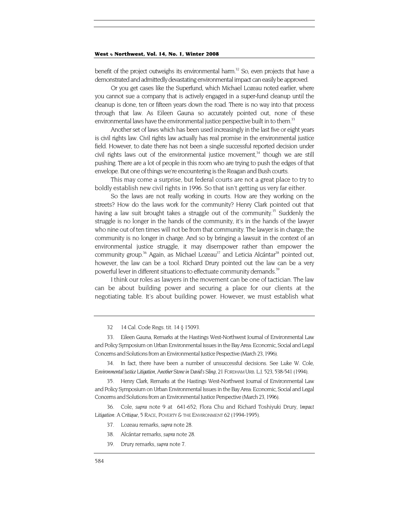benefit of the project outweighs its environmental harm.<sup>32</sup> So, even projects that have a demonstrated and admittedly devastating environmental impact can easily be approved.

Or you get cases like the Superfund, which Michael Lozeau noted earlier, where you cannot sue a company that is actively engaged in a super-fund cleanup until the cleanup is done, ten or fifteen years down the road. There is no way into that process through that law. As Eileen Gauna so accurately pointed out, none of these environmental laws have the environmental justice perspective built in to them.<sup>33</sup>

Another set of laws which has been used increasingly in the last five or eight years is civil rights law. Civil rights law actually has real promise in the environmental justice field. However, to date there has not been a single successful reported decision under civil rights laws out of the environmental justice movement,<sup>34</sup> though we are still pushing. There are a lot of people in this room who are trying to push the edges of that envelope. But one of things we're encountering is the Reagan and Bush courts.

This may come a surprise, but federal courts are not a great place to try to boldly establish new civil rights in 1996. So that isn't getting us very far either.

So the laws are not really working in courts. How are they working on the streets? How do the laws work for the community? Henry Clark pointed out that having a law suit brought takes a struggle out of the community.<sup>35</sup> Suddenly the struggle is no longer in the hands of the community, it's in the hands of the lawyer who nine out of ten times will not be from that community. The lawyer is in charge; the community is no longer in charge. And so by bringing a lawsuit in the context of an environmental justice struggle, it may disempower rather than empower the community group.<sup>36</sup> Again, as Michael Lozeau<sup>37</sup> and Leticia Alcántar<sup>38</sup> pointed out, however, the law can be a tool. Richard Drury pointed out the law can be a very powerful lever in different situations to effectuate community demands.<sup>39</sup>

I think our roles as lawyers in the movement can be one of tactician. The law can be about building power and securing a place for our clients at the negotiating table. It's about building power. However, we must establish what

<span id="page-12-1"></span><span id="page-12-0"></span>33. Eileen Gauna, Remarks at the Hastings West-Northwest Journal of Environmental Law and Policy Symposium on Urban Environmental Issues in the Bay Area: Economic, Social and Legal Concerns and Solutions from an Environmental Justice Pespective (March 23, 1996).

<span id="page-12-2"></span>34. In fact, there have been a number of unsuccessful decisions. See Luke W. Cole, *Environmental Justice Litigation, Another Stone in David's Sling,* 21 FORDHAM URB. L.J. 523, 538-541 (1994).

<span id="page-12-3"></span>35. Henry Clark, Remarks at the Hastings West-Northwest Journal of Environmental Law and Policy Symposium on Urban Environmental Issues in the Bay Area: Economic, Social and Legal Concerns and Solutions from an Environmental Justice Perspective (March 23, 1996).

<span id="page-12-4"></span>36. Cole, *supra* note 9 at 641-652; Flora Chu and Richard Toshiyuki Drury, *Impact Litigation: A Critique,* 5 RACE, POVERTY & THE ENVIRONMENT 62 (1994-1995).

- <span id="page-12-5"></span>37. Lozeau remarks, *supra* note 28.
- <span id="page-12-6"></span>38. Alcántar remarks, *supra* note 28.
- <span id="page-12-7"></span>39. Drury remarks, *supra* note 7.

<sup>32.</sup> 14 Cal. Code Regs. tit. 14 § 15093.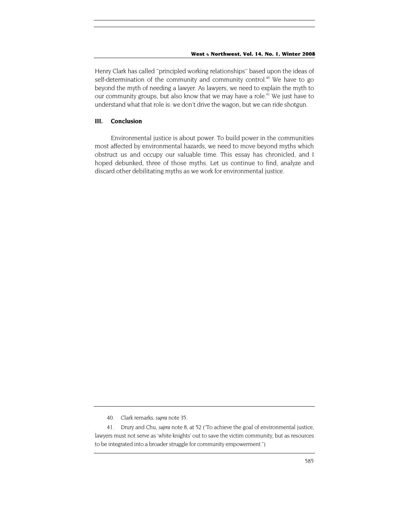Henry Clark has called ''principled working relationships'' based upon the ideas of self-determination of the community and community control.<sup>40</sup> We have to go beyond the myth of needing a lawyer. As lawyers, we need to explain the myth to our community groups, but also know that we may have a role.<sup>41</sup> We just have to understand what that role is: we don't drive the wagon, but we can ride shotgun.

#### **III. Conclusion**

Environmental justice is about power. To build power in the communities most affected by environmental hazards, we need to move beyond myths which obstruct us and occupy our valuable time. This essay has chronicled, and I hoped debunked, three of those myths. Let us continue to find, analyze and discard other debilitating myths as we work for environmental justice.

<span id="page-13-0"></span><sup>40.</sup> Clark remarks, *supra* note 35.

<span id="page-13-1"></span><sup>41.</sup> Drury and Chu, *supra* note 8, at 52 ("To achieve the goal of environmental justice, lawyers must not serve as 'white knights' out to save the victim community, but as resources to be integrated into a broader struggle for community empowerment.")